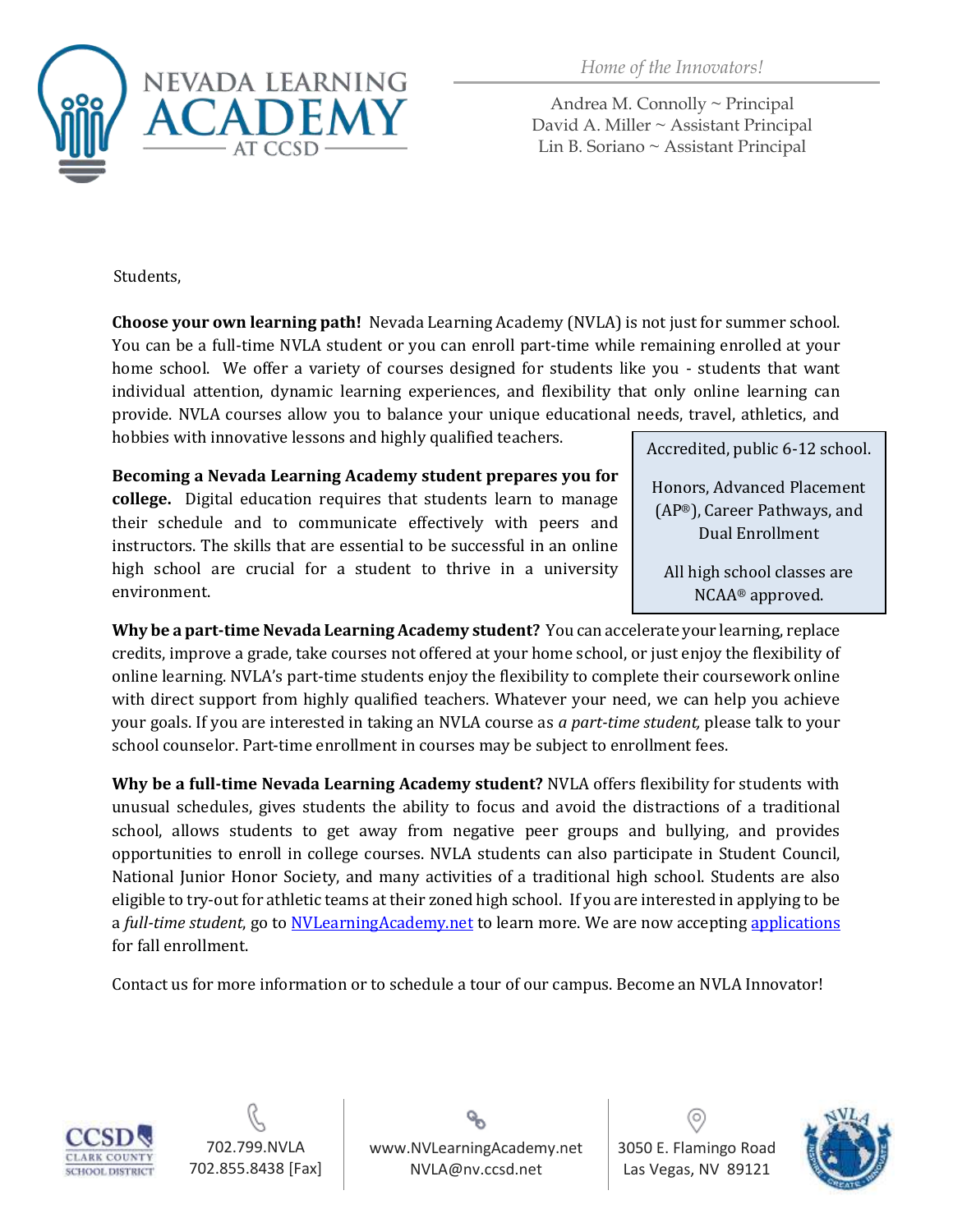

*Home of the Innovators!*

Andrea M. Connolly ~ Principal David A. Miller ~ Assistant Principal Lin B. Soriano ~ Assistant Principal

Students,

**Choose your own learning path!** Nevada Learning Academy (NVLA) is not just for summer school. You can be a full-time NVLA student or you can enroll part-time while remaining enrolled at your home school. We offer a variety of courses designed for students like you - students that want individual attention, dynamic learning experiences, and flexibility that only online learning can provide. NVLA courses allow you to balance your unique educational needs, travel, athletics, and hobbies with innovative lessons and highly qualified teachers. Accredited, public 6-12 school.

**Becoming a Nevada Learning Academy student prepares you for** 

**college.** Digital education requires that students learn to manage their schedule and to communicate effectively with peers and instructors. The skills that are essential to be successful in an online high school are crucial for a student to thrive in a university environment.

Honors, Advanced Placement (AP®), Career Pathways, and Dual Enrollment

All high school classes are NCAA® approved.

**Why be a part-time Nevada Learning Academy student?** You can accelerate your learning, replace credits, improve a grade, take courses not offered at your home school, or just enjoy the flexibility of online learning. NVLA's part-time students enjoy the flexibility to complete their coursework online with direct support from highly qualified teachers. Whatever your need, we can help you achieve your goals. If you are interested in taking an NVLA course as *a part-time student,* please talk to your school counselor. Part-time enrollment in courses may be subject to enrollment fees.

**Why be a full-time Nevada Learning Academy student?** NVLA offers flexibility for students with unusual schedules, gives students the ability to focus and avoid the distractions of a traditional school, allows students to get away from negative peer groups and bullying, and provides opportunities to enroll in college courses. NVLA students can also participate in Student Council, National Junior Honor Society, and many activities of a traditional high school. Students are also eligible to try-out for athletic teams at their zoned high school. If you are interested in applying to be a *full-time student*, go to **NVLearningAcademy.net** to learn more. We are now accepting [applications](https://form.jotform.com/80324230939151) for fall enrollment.

Contact us for more information or to schedule a tour of our campus. Become an NVLA Innovator!